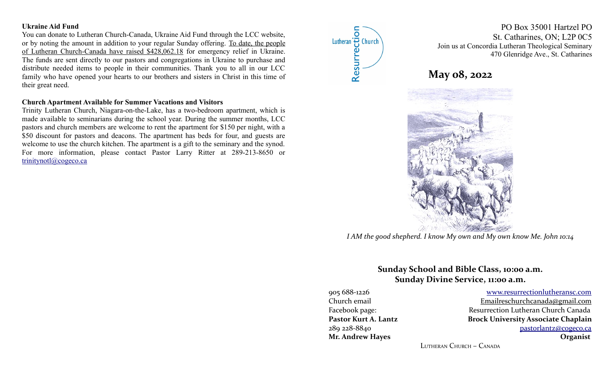### **Ukraine Aid Fund**

You can donate to Lutheran Church-Canada, Ukraine Aid Fund through the LCC website, or by noting the amount in addition to your regular Sunday offering. To date, the people of Lutheran Church-Canada have raised \$428,062.18 for emergency relief in Ukraine. The funds are sent directly to our pastors and congregations in Ukraine to purchase and distribute needed items to people in their communities. Thank you to all in our LCC family who have opened your hearts to our brothers and sisters in Christ in this time of their great need.

### **Church Apartment Available for Summer Vacations and Visitors**

Trinity Lutheran Church, Niagara-on-the-Lake, has a two-bedroom apartment, which is made available to seminarians during the school year. During the summer months, LCC pastors and church members are welcome to rent the apartment for \$150 per night, with a \$50 discount for pastors and deacons. The apartment has beds for four, and guests are welcome to use the church kitchen. The apartment is a gift to the seminary and the synod. For more information, please contact Pastor Larry Ritter at 289-213-8650 or [trinitynotl@cogeco.ca](mailto:trinitynotl@cogeco.ca)



PO Box 35001 Hartzel PO St. Catharines, ON; L2P 0C5 Join us at Concordia Lutheran Theological Seminary 470 Glenridge Ave., St. Catharines

# **May 08, 2022**



*I AM the good shepherd. I know My own and My own know Me. John 10:14*

# **Sunday School and Bible Class, 10:00 a.m. Sunday Divine Service, 11:00 a.m.**

905 688-1226 [www.resurrectionl utherans c.c om](http://www.resurrectionlc.ca/) Church email Emailreschur chcanada@gmail.com Facebook page: Resurrection Lutheran Church Canada Pastor Kurt A. Lantz **Brock University Associate Chaplain** 289 228-8840 [pastorlantz@cogeco.ca](mailto:pastorlantz@cogeco.ca) **Mr. Andrew Hayes Organist**

LUTHERAN CHURCH – CANADA